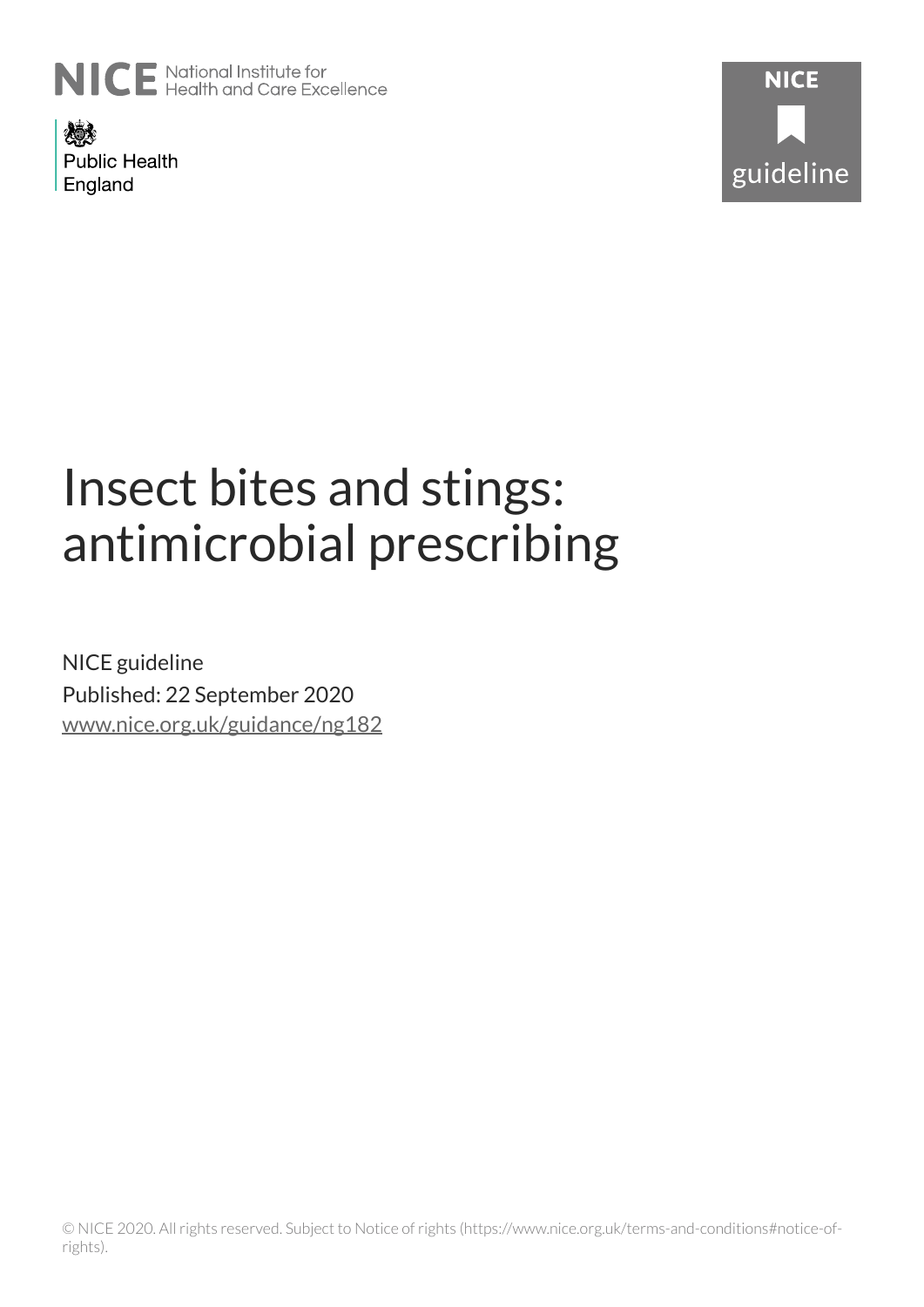

燃え **Public Health** England



# Insect bites and stings: antimicrobial prescribing

NICE guideline Published: 22 September 2020 [www.nice.org.uk/guidance/ng182](https://www.nice.org.uk/guidance/ng182)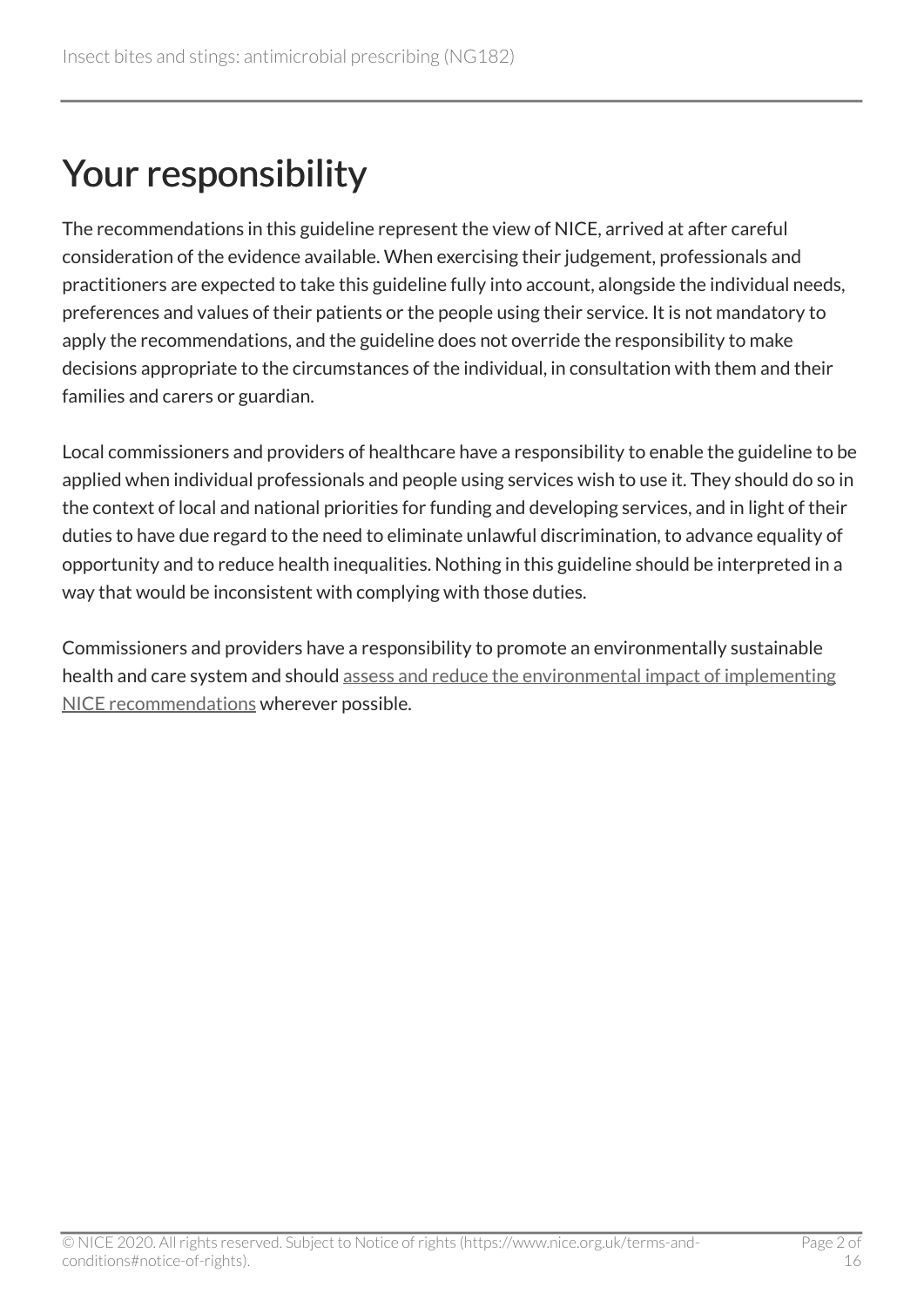## Your responsibility

The recommendations in this guideline represent the view of NICE, arrived at after careful consideration of the evidence available. When exercising their judgement, professionals and practitioners are expected to take this guideline fully into account, alongside the individual needs, preferences and values of their patients or the people using their service. It is not mandatory to apply the recommendations, and the guideline does not override the responsibility to make decisions appropriate to the circumstances of the individual, in consultation with them and their families and carers or guardian.

Local commissioners and providers of healthcare have a responsibility to enable the guideline to be applied when individual professionals and people using services wish to use it. They should do so in the context of local and national priorities for funding and developing services, and in light of their duties to have due regard to the need to eliminate unlawful discrimination, to advance equality of opportunity and to reduce health inequalities. Nothing in this guideline should be interpreted in a way that would be inconsistent with complying with those duties.

Commissioners and providers have a responsibility to promote an environmentally sustainable health and care system and should [assess and reduce the environmental impact of implementing](https://www.nice.org.uk/about/who-we-are/sustainability)  [NICE recommendations](https://www.nice.org.uk/about/who-we-are/sustainability) wherever possible.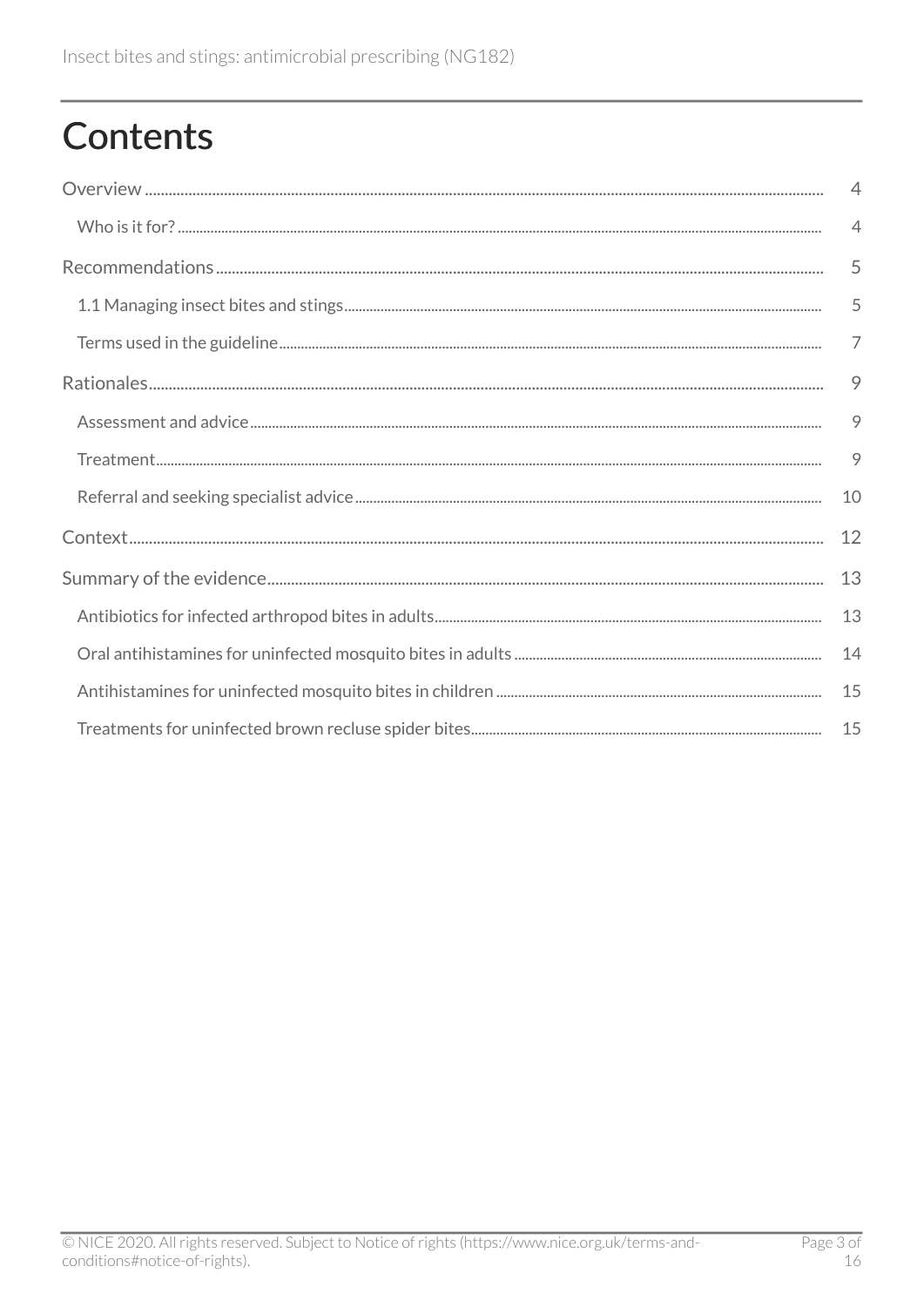## **Contents**

| $\overline{4}$ |
|----------------|
| $\overline{4}$ |
| 5              |
| 5              |
| $\overline{7}$ |
| 9              |
| 9              |
| 9              |
| 10             |
| 12             |
| 13             |
| 13             |
| 14             |
| 15             |
| 15             |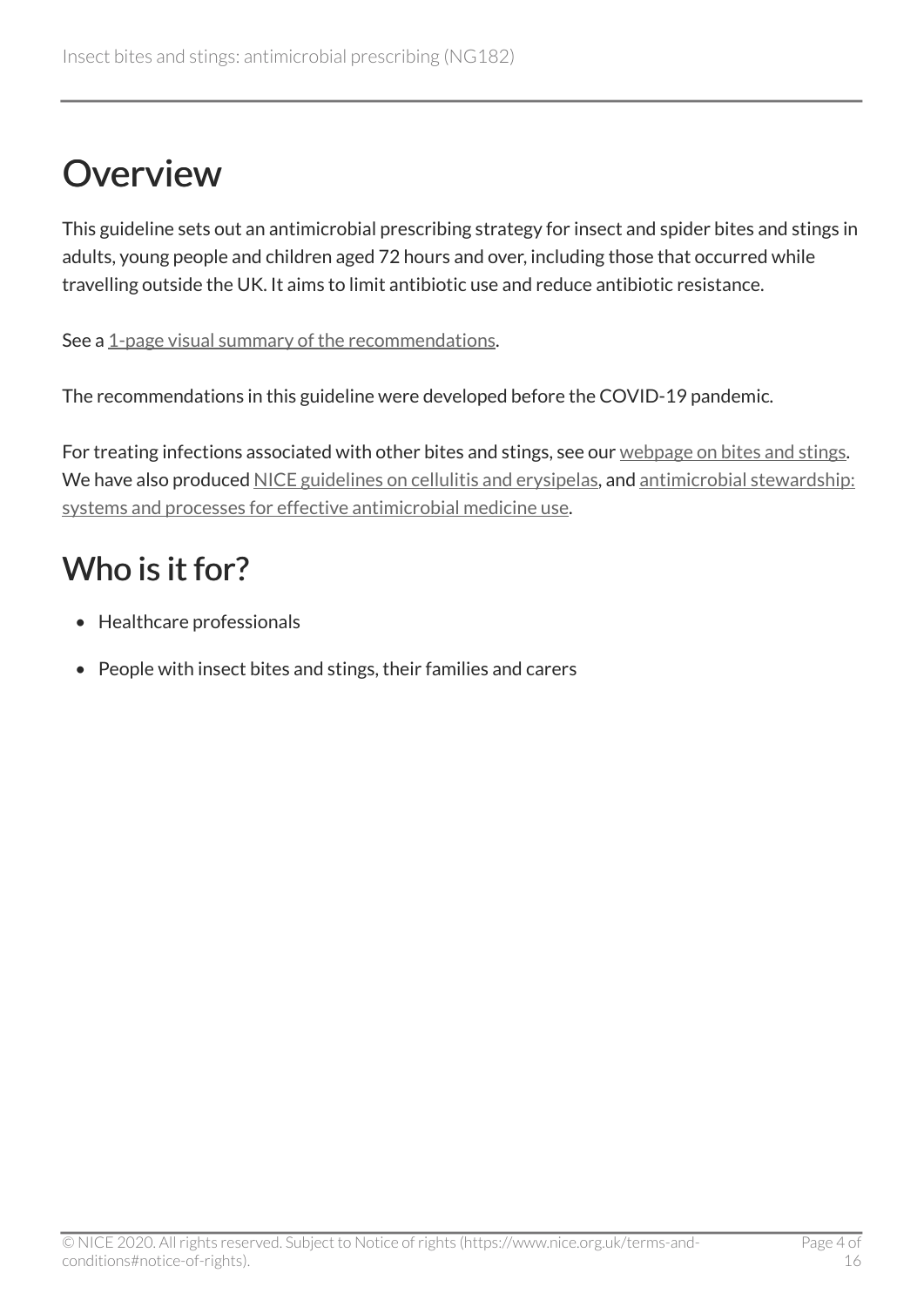## <span id="page-3-0"></span>**Overview**

This guideline sets out an antimicrobial prescribing strategy for insect and spider bites and stings in adults, young people and children aged 72 hours and over, including those that occurred while travelling outside the UK. It aims to limit antibiotic use and reduce antibiotic resistance.

See a [1-page visual summary of the recommendations](https://www.nice.org.uk/guidance/ng182/resources/visual-summary-pdf-8840058733).

The recommendations in this guideline were developed before the COVID-19 pandemic.

For treating infections associated with other bites and stings, see our [webpage on bites and stings](https://www.nice.org.uk/guidance/conditions-and-diseases/infections/bites-and-stings). We have also produced [NICE guidelines on cellulitis and erysipelas,](https://www.nice.org.uk/guidance/ng141) and [antimicrobial stewardship:](https://www.nice.org.uk/guidance/ng15) [systems and processes for effective antimicrobial medicine use.](https://www.nice.org.uk/guidance/ng15)

### <span id="page-3-1"></span>Who is it for?

- Healthcare professionals
- People with insect bites and stings, their families and carers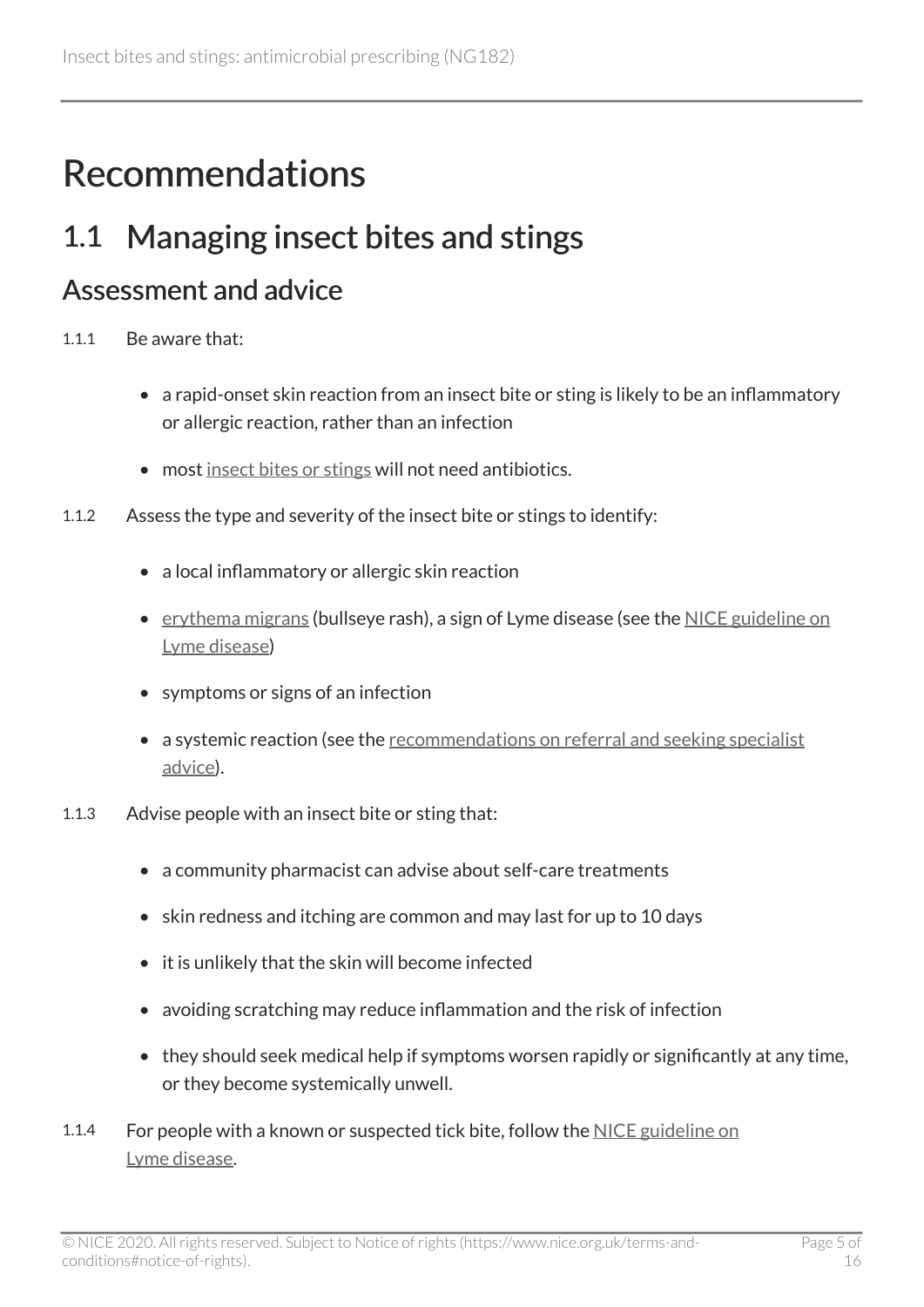## <span id="page-4-0"></span>Recommendations

### <span id="page-4-1"></span>1.1 Managing insect bites and stings

#### <span id="page-4-2"></span>Assessment and advice

- 1.1.1 Be aware that:
	- a rapid-onset skin reaction from an insect bite or sting is likely to be an inflammatory or allergic reaction, rather than an infection
	- most [insect bites or stings](#page-7-0) will not need antibiotics.
- 1.1.2 Assess the type and severity of the insect bite or stings to identify:
	- a local inflammatory or allergic skin reaction
	- [erythema migrans](#page-7-1) (bullseye rash), a sign of Lyme disease (see the [NICE guideline on](https://www.nice.org.uk/guidance/ng95) [Lyme disease\)](https://www.nice.org.uk/guidance/ng95)
	- symptoms or signs of an infection
	- a systemic reaction (see the [recommendations on referral and seeking specialist](#page-6-1)  [advice](#page-6-1)).
- 1.1.3 Advise people with an insect bite or sting that:
	- a community pharmacist can advise about self-care treatments
	- skin redness and itching are common and may last for up to 10 days
	- it is unlikely that the skin will become infected
	- avoiding scratching may reduce inflammation and the risk of infection
	- they should seek medical help if symptoms worsen rapidly or significantly at any time, or they become systemically unwell.
- 1.1.4 For people with a known or suspected tick bite, follow the [NICE guideline on](https://www.nice.org.uk/guidance/ng95) [Lyme disease](https://www.nice.org.uk/guidance/ng95).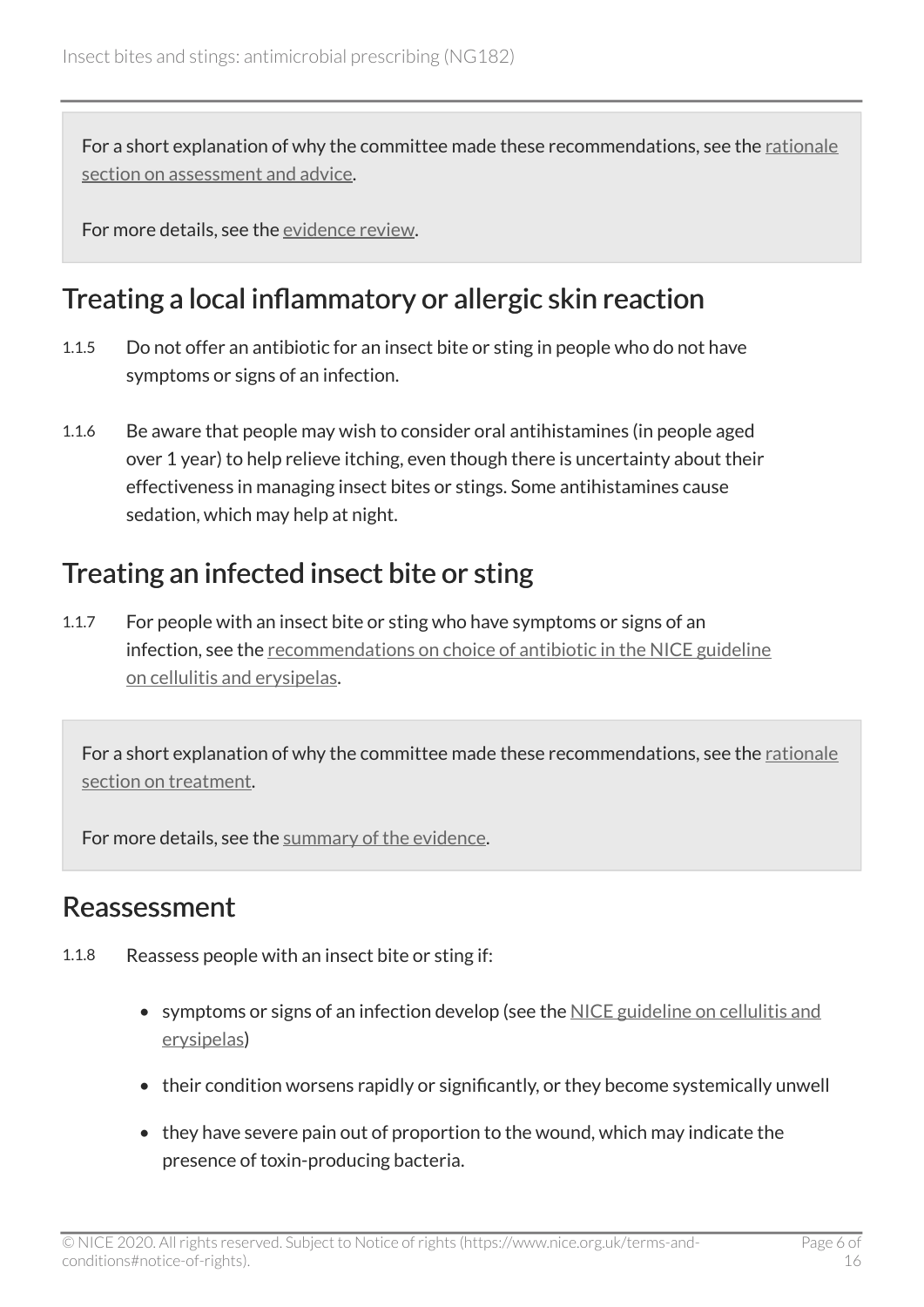For a short explanation of why the committee made these recommendations, see the [rationale](#page-8-1) [section on assessment and advice](#page-8-1).

For more details, see the [evidence review](https://www.nice.org.uk/guidance/ng182/evidence/evidence-review-pdf-8840056141).

#### <span id="page-5-0"></span>Treating a local inflammatory or allergic skin reaction

- 1.1.5 Do not offer an antibiotic for an insect bite or sting in people who do not have symptoms or signs of an infection.
- 1.1.6 Be aware that people may wish to consider oral antihistamines (in people aged over 1 year) to help relieve itching, even though there is uncertainty about their effectiveness in managing insect bites or stings. Some antihistamines cause sedation, which may help at night.

### Treating an infected insect bite or sting

1.1.7 For people with an insect bite or sting who have symptoms or signs of an infection, see the [recommendations on choice of antibiotic in the NICE guideline](https://www.nice.org.uk/guidance/ng141/chapter/Recommendations#choice-of-antibiotic) [on cellulitis and erysipelas](https://www.nice.org.uk/guidance/ng141/chapter/Recommendations#choice-of-antibiotic).

For a short explanation of why the committee made these recommendations, see the [rationale](#page-8-2) [section on treatment](#page-8-2).

For more details, see the [summary of the evidence](#page-12-0).

#### Reassessment

- 1.1.8 Reassess people with an insect bite or sting if:
	- symptoms or signs of an infection develop (see the [NICE guideline on cellulitis and](https://www.nice.org.uk/guidance/ng141) [erysipelas](https://www.nice.org.uk/guidance/ng141))
	- their condition worsens rapidly or significantly, or they become systemically unwell
	- they have severe pain out of proportion to the wound, which may indicate the presence of toxin-producing bacteria.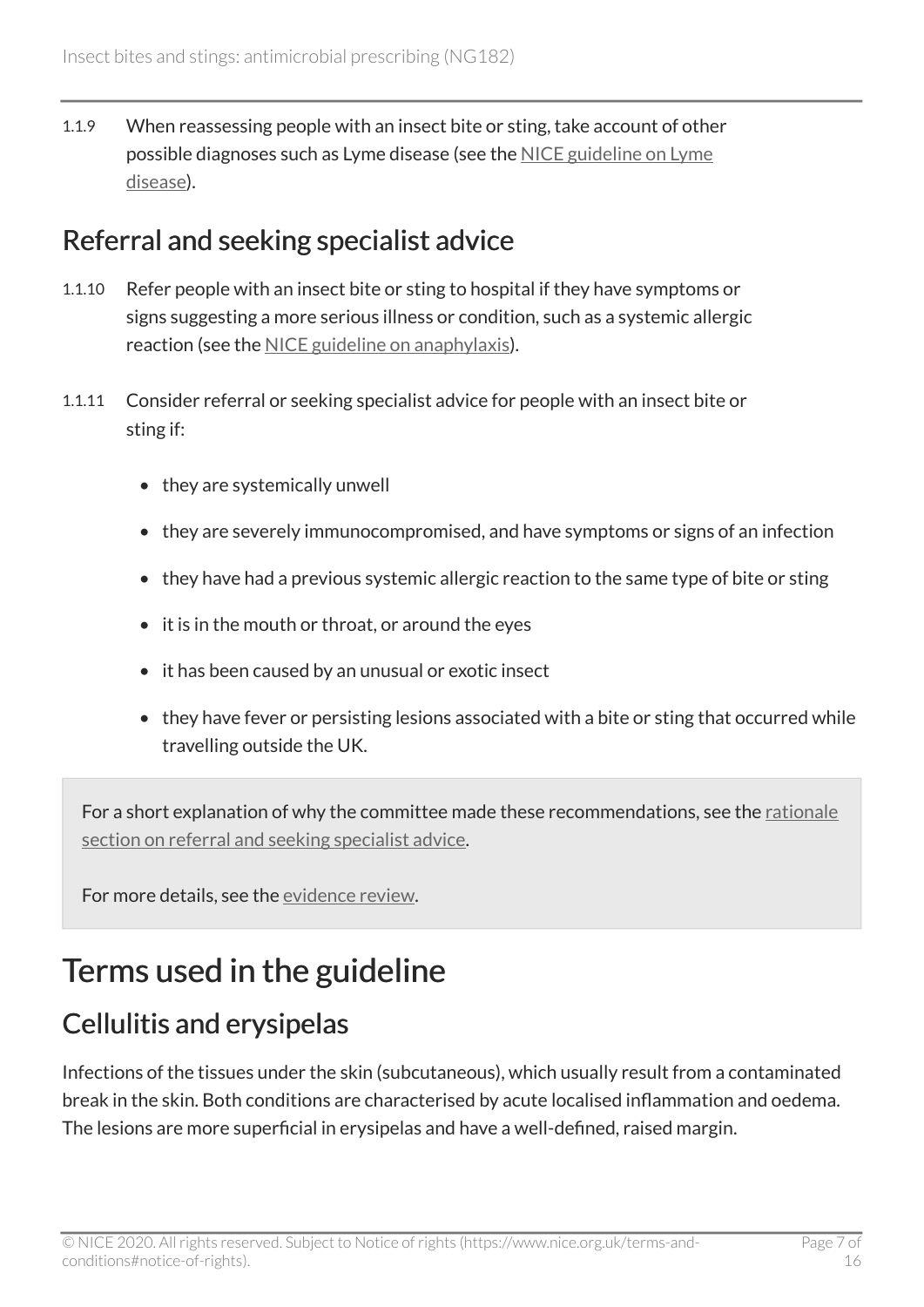1.1.9 When reassessing people with an insect bite or sting, take account of other possible diagnoses such as Lyme disease (see the [NICE guideline on Lyme](https://www.nice.org.uk/guidance/ng95)  [disease](https://www.nice.org.uk/guidance/ng95)).

#### <span id="page-6-1"></span>Referral and seeking specialist advice

- 1.1.10 Refer people with an insect bite or sting to hospital if they have symptoms or signs suggesting a more serious illness or condition, such as a systemic allergic reaction (see the [NICE guideline on anaphylaxis\)](https://www.nice.org.uk/guidance/cg134).
- 1.1.11 Consider referral or seeking specialist advice for people with an insect bite or sting if:
	- they are systemically unwell
	- they are severely immunocompromised, and have symptoms or signs of an infection
	- they have had a previous systemic allergic reaction to the same type of bite or sting
	- it is in the mouth or throat, or around the eyes
	- it has been caused by an unusual or exotic insect
	- they have fever or persisting lesions associated with a bite or sting that occurred while travelling outside the UK.

For a short explanation of why the committee made these recommendations, see the [rationale](#page-9-0) [section on referral and seeking specialist advice](#page-9-0).

For more details, see the [evidence review](https://www.nice.org.uk/guidance/ng182/evidence/evidence-review-pdf-8840056141).

### <span id="page-6-0"></span>Terms used in the guideline

### Cellulitis and erysipelas

Infections of the tissues under the skin (subcutaneous), which usually result from a contaminated break in the skin. Both conditions are characterised by acute localised inflammation and oedema. The lesions are more superficial in erysipelas and have a well-defined, raised margin.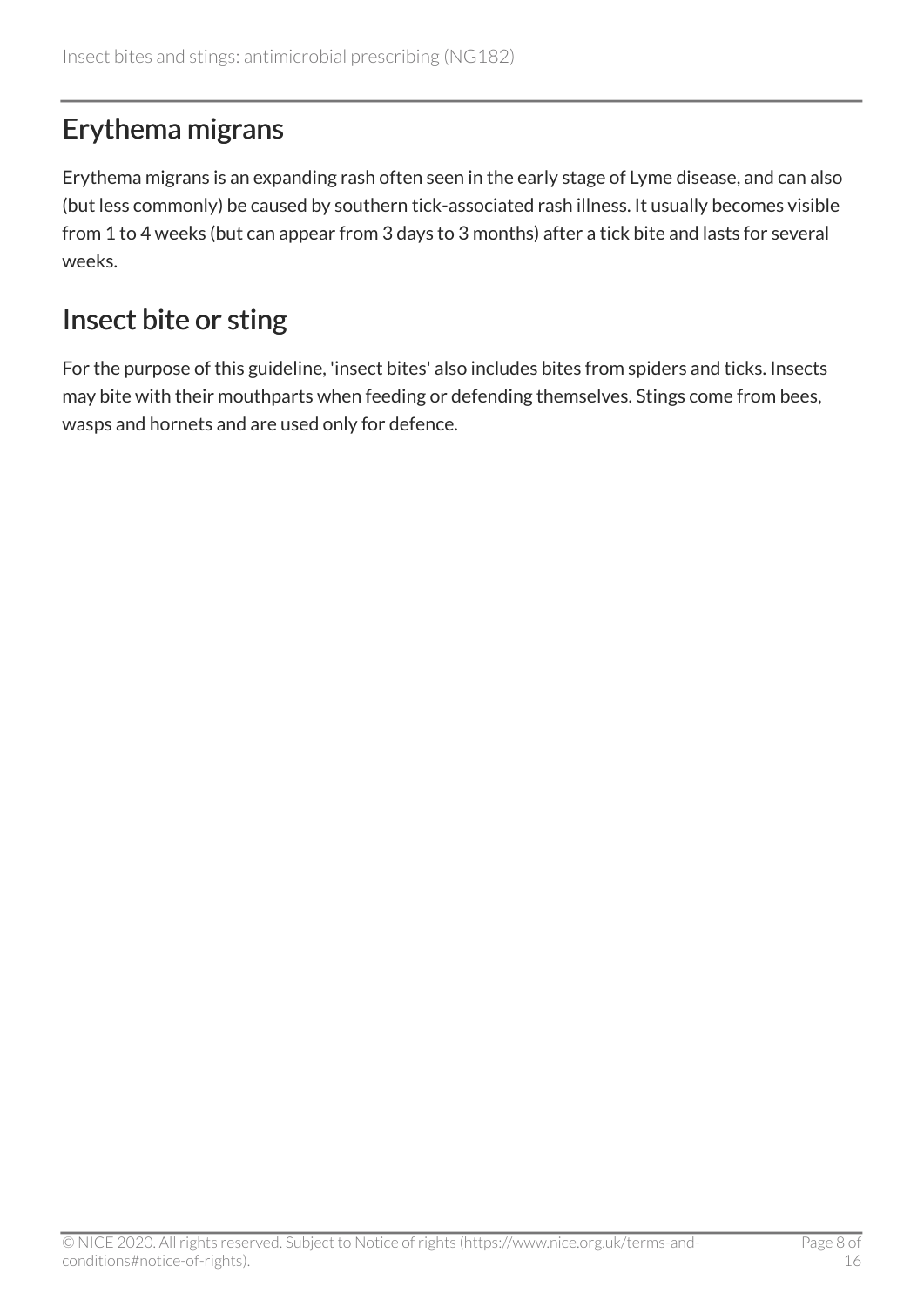### <span id="page-7-1"></span>Erythema migrans

Erythema migrans is an expanding rash often seen in the early stage of Lyme disease, and can also (but less commonly) be caused by southern tick-associated rash illness. It usually becomes visible from 1 to 4 weeks (but can appear from 3 days to 3 months) after a tick bite and lasts for several weeks.

### <span id="page-7-0"></span>Insect bite or sting

For the purpose of this guideline, 'insect bites' also includes bites from spiders and ticks. Insects may bite with their mouthparts when feeding or defending themselves. Stings come from bees, wasps and hornets and are used only for defence.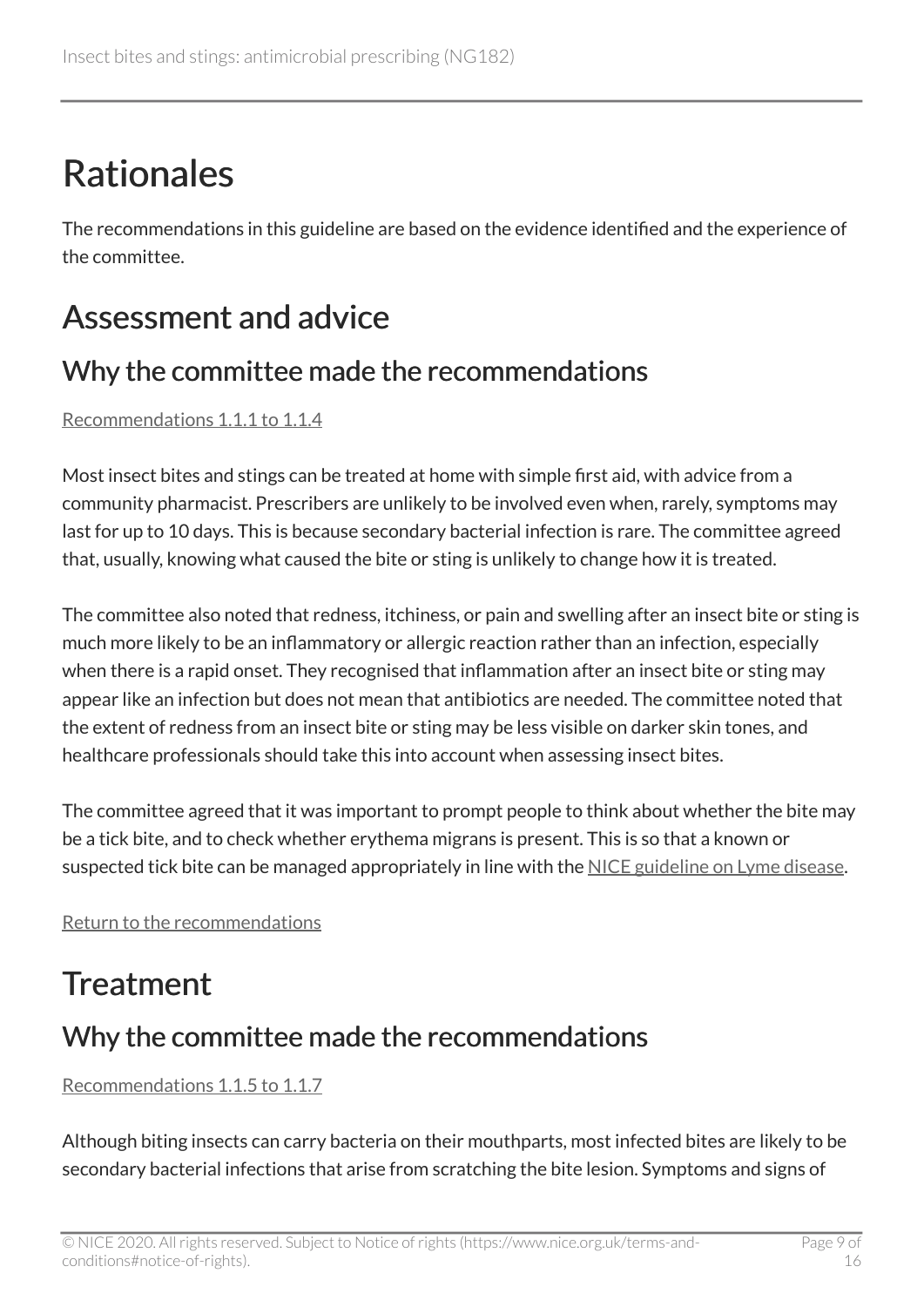## <span id="page-8-0"></span>Rationales

The recommendations in this guideline are based on the evidence identified and the experience of the committee.

### <span id="page-8-1"></span>Assessment and advice

#### Why the committee made the recommendations

[Recommendations 1.1.1 to 1.1.4](#page-4-2) 

Most insect bites and stings can be treated at home with simple first aid, with advice from a community pharmacist. Prescribers are unlikely to be involved even when, rarely, symptoms may last for up to 10 days. This is because secondary bacterial infection is rare. The committee agreed that, usually, knowing what caused the bite or sting is unlikely to change how it is treated.

The committee also noted that redness, itchiness, or pain and swelling after an insect bite or sting is much more likely to be an inflammatory or allergic reaction rather than an infection, especially when there is a rapid onset. They recognised that inflammation after an insect bite or sting may appear like an infection but does not mean that antibiotics are needed. The committee noted that the extent of redness from an insect bite or sting may be less visible on darker skin tones, and healthcare professionals should take this into account when assessing insect bites.

The committee agreed that it was important to prompt people to think about whether the bite may be a tick bite, and to check whether erythema migrans is present. This is so that a known or suspected tick bite can be managed appropriately in line with the [NICE guideline on Lyme disease](https://www.nice.org.uk/guidance/ng95).

[Return to the recommendations](#page-4-1)

### <span id="page-8-2"></span>**Treatment**

### Why the committee made the recommendations

[Recommendations 1.1.5 to 1.1.7](#page-5-0) 

Although biting insects can carry bacteria on their mouthparts, most infected bites are likely to be secondary bacterial infections that arise from scratching the bite lesion. Symptoms and signs of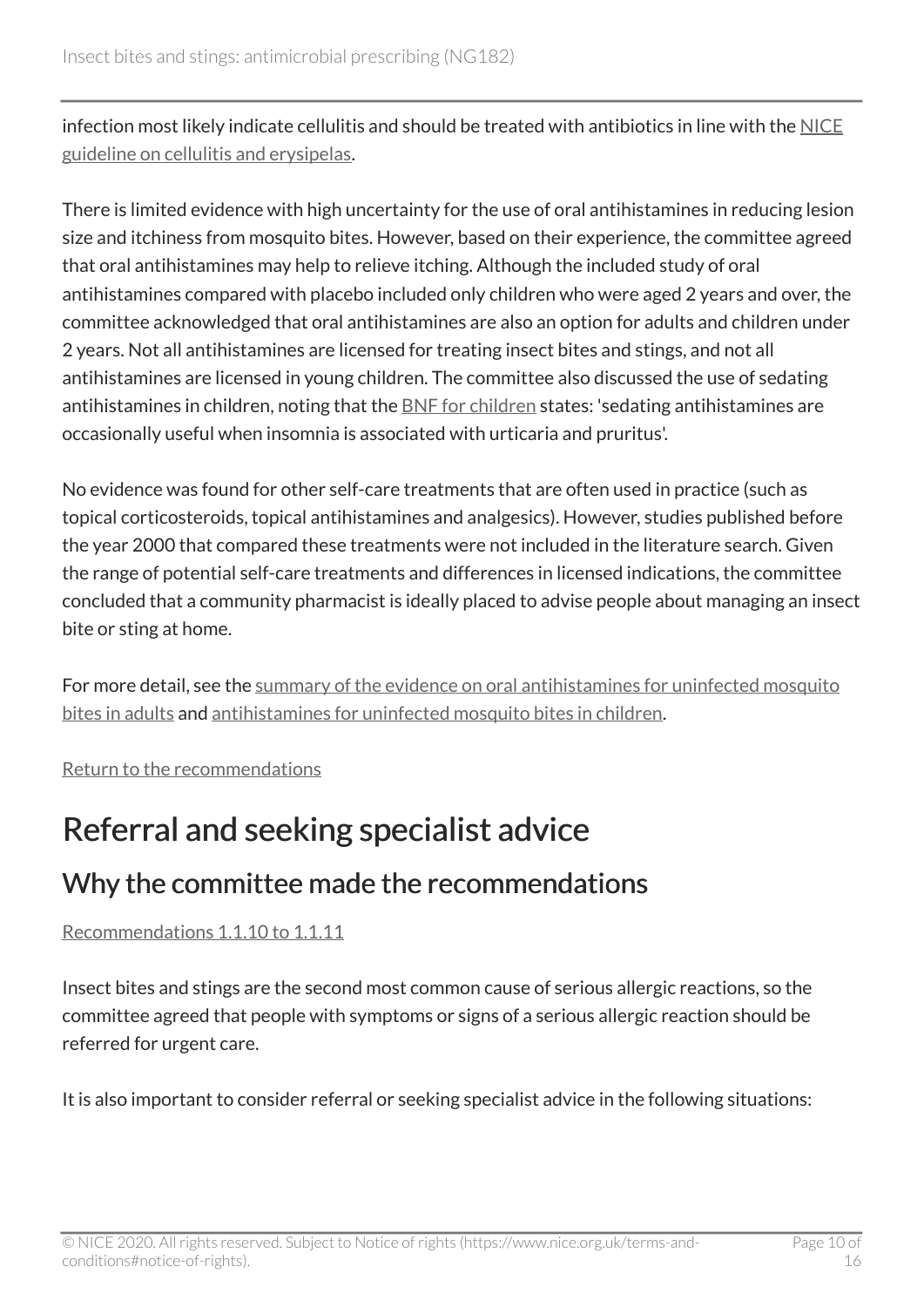infection most likely indicate cellulitis and should be treated with antibiotics in line with the [NICE](https://www.nice.org.uk/guidance/ng141) [guideline on cellulitis and erysipelas](https://www.nice.org.uk/guidance/ng141).

There is limited evidence with high uncertainty for the use of oral antihistamines in reducing lesion size and itchiness from mosquito bites. However, based on their experience, the committee agreed that oral antihistamines may help to relieve itching. Although the included study of oral antihistamines compared with placebo included only children who were aged 2 years and over, the committee acknowledged that oral antihistamines are also an option for adults and children under 2 years. Not all antihistamines are licensed for treating insect bites and stings, and not all antihistamines are licensed in young children. The committee also discussed the use of sedating antihistamines in children, noting that the **BNF** for children states: 'sedating antihistamines are occasionally useful when insomnia is associated with urticaria and pruritus'.

No evidence was found for other self-care treatments that are often used in practice (such as topical corticosteroids, topical antihistamines and analgesics). However, studies published before the year 2000 that compared these treatments were not included in the literature search. Given the range of potential self-care treatments and differences in licensed indications, the committee concluded that a community pharmacist is ideally placed to advise people about managing an insect bite or sting at home.

For more detail, see the [summary of the evidence on oral antihistamines for uninfected mosquito](#page-13-0) [bites in adults](#page-13-0) and [antihistamines for uninfected mosquito bites in children](#page-14-0).

[Return to the recommendations](#page-5-0)

### <span id="page-9-0"></span>Referral and seeking specialist advice

### Why the committee made the recommendations

[Recommendations 1.1.10 to 1.1.11](#page-6-1) 

Insect bites and stings are the second most common cause of serious allergic reactions, so the committee agreed that people with symptoms or signs of a serious allergic reaction should be referred for urgent care.

It is also important to consider referral or seeking specialist advice in the following situations: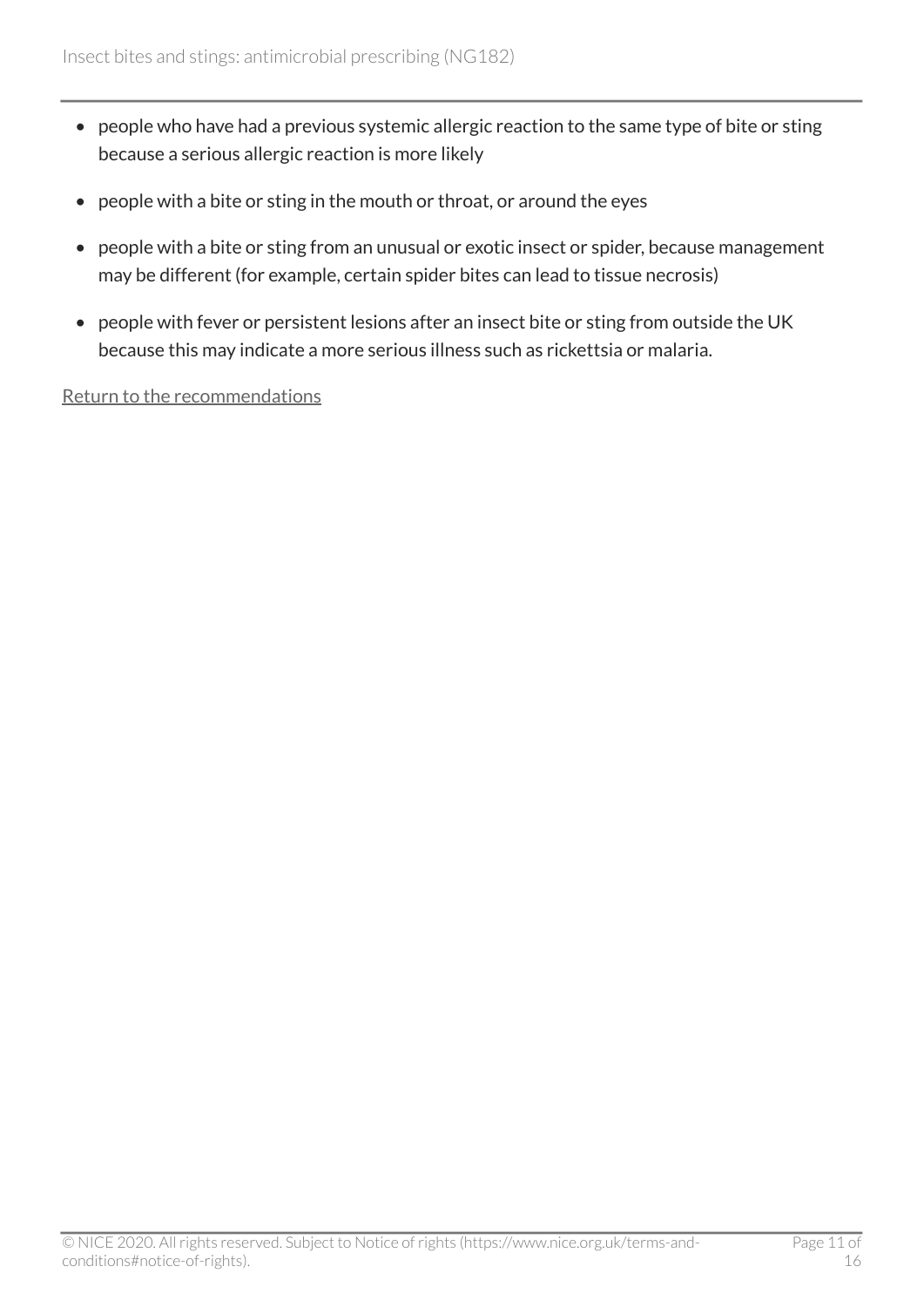- people who have had a previous systemic allergic reaction to the same type of bite or sting because a serious allergic reaction is more likely
- people with a bite or sting in the mouth or throat, or around the eyes
- people with a bite or sting from an unusual or exotic insect or spider, because management may be different (for example, certain spider bites can lead to tissue necrosis)
- people with fever or persistent lesions after an insect bite or sting from outside the UK because this may indicate a more serious illness such as rickettsia or malaria.

[Return to the recommendations](#page-6-1)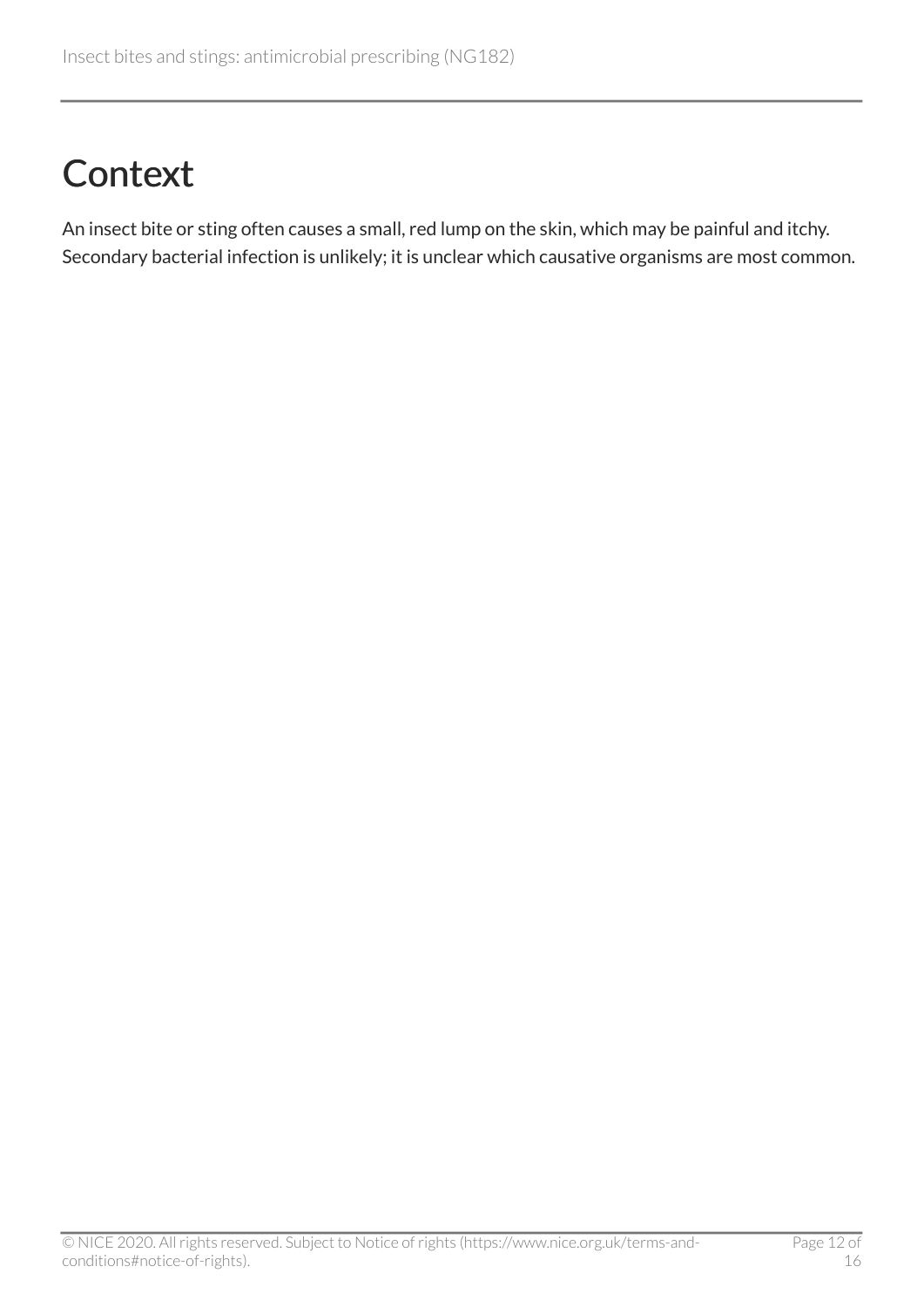## <span id="page-11-0"></span>**Context**

An insect bite or sting often causes a small, red lump on the skin, which may be painful and itchy. Secondary bacterial infection is unlikely; it is unclear which causative organisms are most common.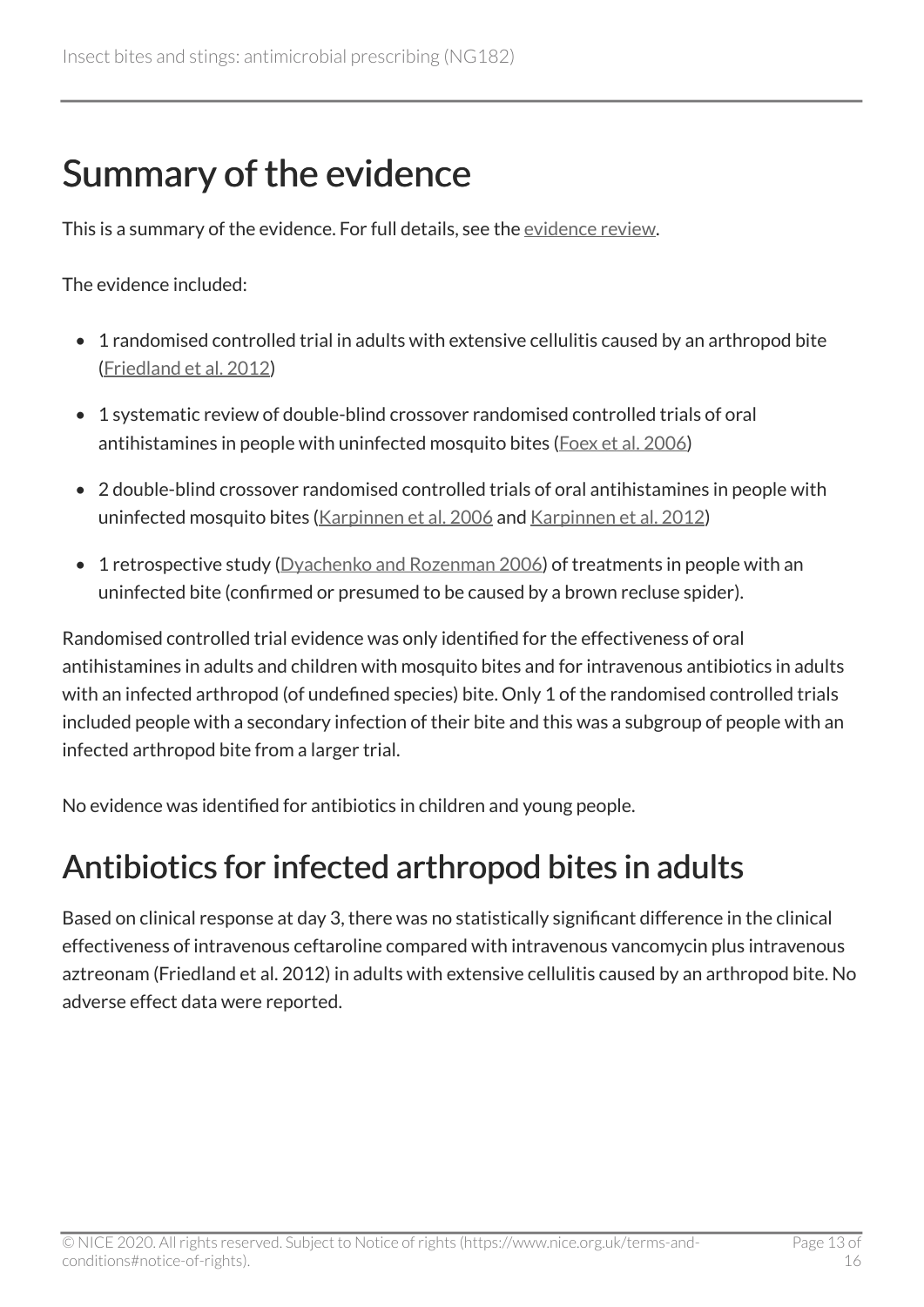## <span id="page-12-0"></span>Summary of the evidence

This is a summary of the evidence. For full details, see the [evidence review.](https://www.nice.org.uk/guidance/ng182/evidence/evidence-review-pdf-8840056141)

The evidence included:

- 1 randomised controlled trial in adults with extensive cellulitis caused by an arthropod bite ([Friedland et al. 2012](https://www.ncbi.nlm.nih.gov/pmc/articles/PMC3346585/))
- 1 systematic review of double-blind crossover randomised controlled trials of oral antihistamines in people with uninfected mosquito bites [\(Foex et al. 2006\)](https://www.ncbi.nlm.nih.gov/pmc/articles/PMC2564222/)
- 2 double-blind crossover randomised controlled trials of oral antihistamines in people with uninfected mosquito bites [\(Karpinnen et al. 2006](https://www.medicaljournals.se/acta/content/abstract/10.2340/00015555-0085) and [Karpinnen et al. 2012](https://onlinelibrary.wiley.com/doi/abs/10.1111/j.1468-3083.2012.04543.x))
- 1 retrospective study ([Dyachenko and Rozenman 2006\)](https://onlinelibrary.wiley.com/doi/abs/10.1111/j.1468-3083.2006.01749.x) of treatments in people with an uninfected bite (confirmed or presumed to be caused by a brown recluse spider).

Randomised controlled trial evidence was only identified for the effectiveness of oral antihistamines in adults and children with mosquito bites and for intravenous antibiotics in adults with an infected arthropod (of undefined species) bite. Only 1 of the randomised controlled trials included people with a secondary infection of their bite and this was a subgroup of people with an infected arthropod bite from a larger trial.

No evidence was identified for antibiotics in children and young people.

### <span id="page-12-1"></span>Antibiotics for infected arthropod bites in adults

Based on clinical response at day 3, there was no statistically significant difference in the clinical effectiveness of intravenous ceftaroline compared with intravenous vancomycin plus intravenous aztreonam (Friedland et al. 2012) in adults with extensive cellulitis caused by an arthropod bite. No adverse effect data were reported.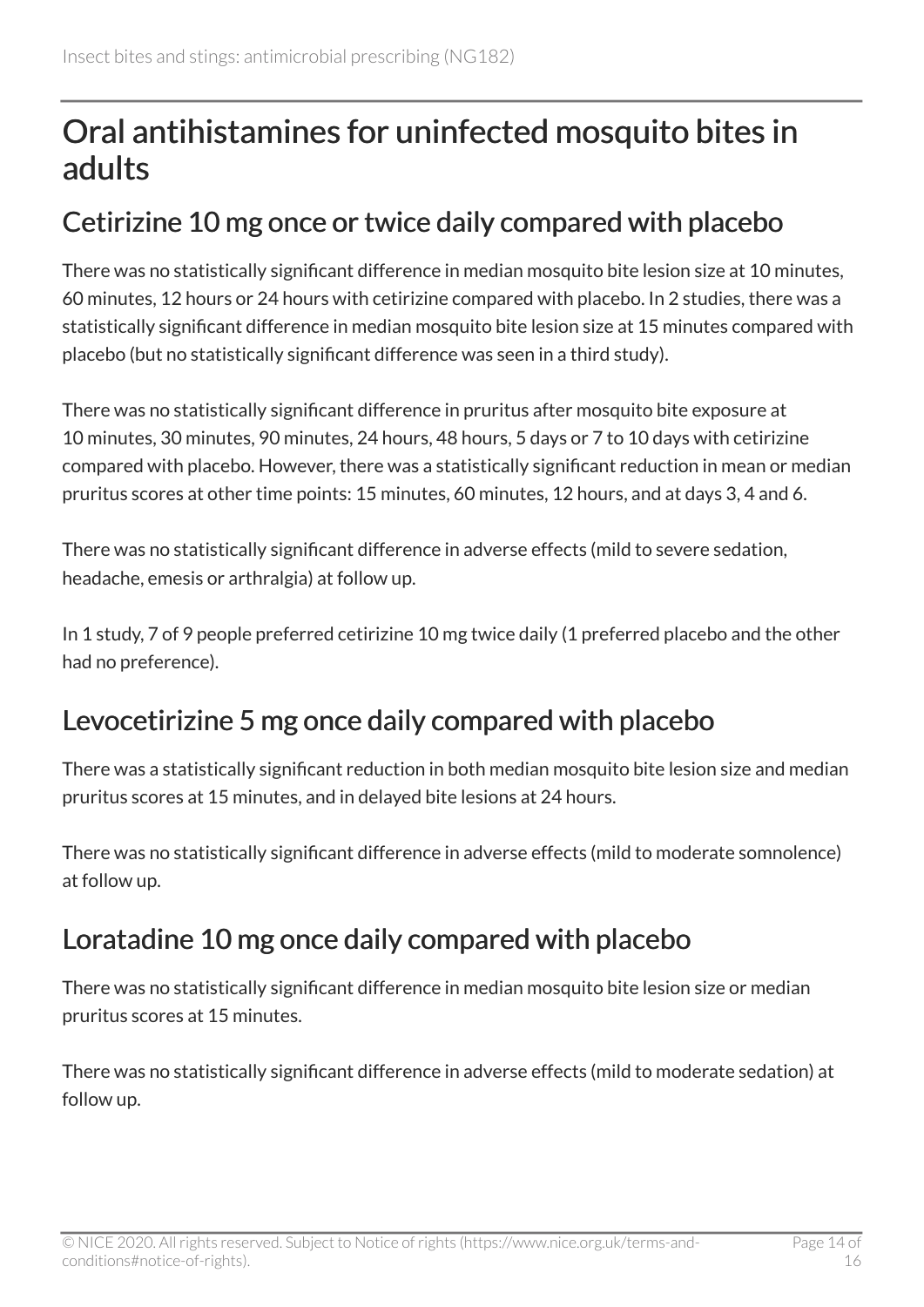### <span id="page-13-0"></span>Oral antihistamines for uninfected mosquito bites in adults

#### Cetirizine 10 mg once or twice daily compared with placebo

There was no statistically significant difference in median mosquito bite lesion size at 10 minutes, 60 minutes, 12 hours or 24 hours with cetirizine compared with placebo. In 2 studies, there was a statistically significant difference in median mosquito bite lesion size at 15 minutes compared with placebo (but no statistically significant difference was seen in a third study).

There was no statistically significant difference in pruritus after mosquito bite exposure at 10 minutes, 30 minutes, 90 minutes, 24 hours, 48 hours, 5 days or 7 to 10 days with cetirizine compared with placebo. However, there was a statistically significant reduction in mean or median pruritus scores at other time points: 15 minutes, 60 minutes, 12 hours, and at days 3, 4 and 6.

There was no statistically significant difference in adverse effects (mild to severe sedation, headache, emesis or arthralgia) at follow up.

In 1 study, 7 of 9 people preferred cetirizine 10 mg twice daily (1 preferred placebo and the other had no preference).

### Levocetirizine 5 mg once daily compared with placebo

There was a statistically significant reduction in both median mosquito bite lesion size and median pruritus scores at 15 minutes, and in delayed bite lesions at 24 hours.

There was no statistically significant difference in adverse effects (mild to moderate somnolence) at follow up.

### Loratadine 10 mg once daily compared with placebo

There was no statistically significant difference in median mosquito bite lesion size or median pruritus scores at 15 minutes.

There was no statistically significant difference in adverse effects (mild to moderate sedation) at follow up.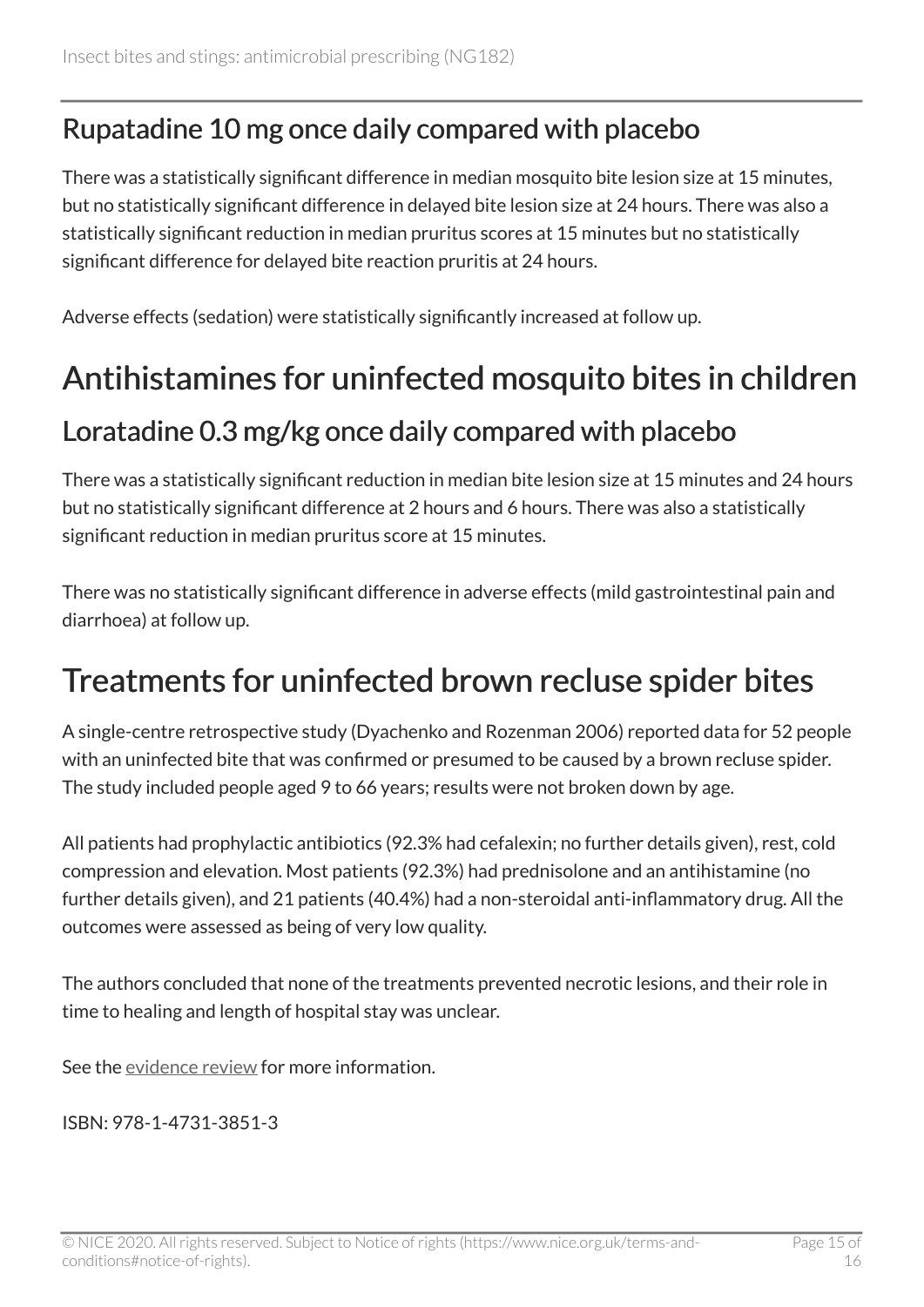### Rupatadine 10 mg once daily compared with placebo

There was a statistically significant difference in median mosquito bite lesion size at 15 minutes, but no statistically significant difference in delayed bite lesion size at 24 hours. There was also a statistically significant reduction in median pruritus scores at 15 minutes but no statistically significant difference for delayed bite reaction pruritis at 24 hours.

Adverse effects (sedation) were statistically significantly increased at follow up.

### <span id="page-14-0"></span>Antihistamines for uninfected mosquito bites in children

#### Loratadine 0.3 mg/kg once daily compared with placebo

There was a statistically significant reduction in median bite lesion size at 15 minutes and 24 hours but no statistically significant difference at 2 hours and 6 hours. There was also a statistically significant reduction in median pruritus score at 15 minutes.

There was no statistically significant difference in adverse effects (mild gastrointestinal pain and diarrhoea) at follow up.

### <span id="page-14-1"></span>Treatments for uninfected brown recluse spider bites

A single-centre retrospective study (Dyachenko and Rozenman 2006) reported data for 52 people with an uninfected bite that was confirmed or presumed to be caused by a brown recluse spider. The study included people aged 9 to 66 years; results were not broken down by age.

All patients had prophylactic antibiotics (92.3% had cefalexin; no further details given), rest, cold compression and elevation. Most patients (92.3%) had prednisolone and an antihistamine (no further details given), and 21 patients (40.4%) had a non-steroidal anti-inflammatory drug. All the outcomes were assessed as being of very low quality.

The authors concluded that none of the treatments prevented necrotic lesions, and their role in time to healing and length of hospital stay was unclear.

See the [evidence review](https://www.nice.org.uk/guidance/ng182/evidence/evidence-review-pdf-8840056141) for more information.

ISBN: 978-1-4731-3851-3